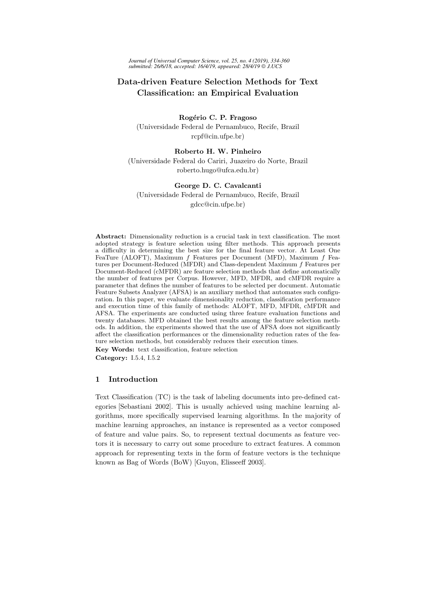# Data-driven Feature Selection Methods for Text Classification: an Empirical Evaluation

## Rogério C. P. Fragoso (Universidade Federal de Pernambuco, Recife, Brazil rcpf@cin.ufpe.br)

## Roberto H. W. Pinheiro

(Universidade Federal do Cariri, Juazeiro do Norte, Brazil roberto.hugo@ufca.edu.br)

## George D. C. Cavalcanti

(Universidade Federal de Pernambuco, Recife, Brazil gdcc@cin.ufpe.br)

Abstract: Dimensionality reduction is a crucial task in text classification. The most adopted strategy is feature selection using filter methods. This approach presents a difficulty in determining the best size for the final feature vector. At Least One FeaTure (ALOFT), Maximum f Features per Document (MFD), Maximum f Features per Document-Reduced (MFDR) and Class-dependent Maximum f Features per Document-Reduced (cMFDR) are feature selection methods that define automatically the number of features per Corpus. However, MFD, MFDR, and cMFDR require a parameter that defines the number of features to be selected per document. Automatic Feature Subsets Analyzer (AFSA) is an auxiliary method that automates such configuration. In this paper, we evaluate dimensionality reduction, classification performance and execution time of this family of methods: ALOFT, MFD, MFDR, cMFDR and AFSA. The experiments are conducted using three feature evaluation functions and twenty databases. MFD obtained the best results among the feature selection methods. In addition, the experiments showed that the use of AFSA does not significantly affect the classification performances or the dimensionality reduction rates of the feature selection methods, but considerably reduces their execution times. Key Words: text classification, feature selection

Category: I.5.4, I.5.2

## 1 Introduction

Text Classification (TC) is the task of labeling documents into pre-defined categories [Sebastiani 2002]. This is usually achieved using machine learning algorithms, more specifically supervised learning algorithms. In the majority of machine learning approaches, an instance is represented as a vector composed of feature and value pairs. So, to represent textual documents as feature vectors it is necessary to carry out some procedure to extract features. A common approach for representing texts in the form of feature vectors is the technique known as Bag of Words (BoW) [Guyon, Elisseeff 2003].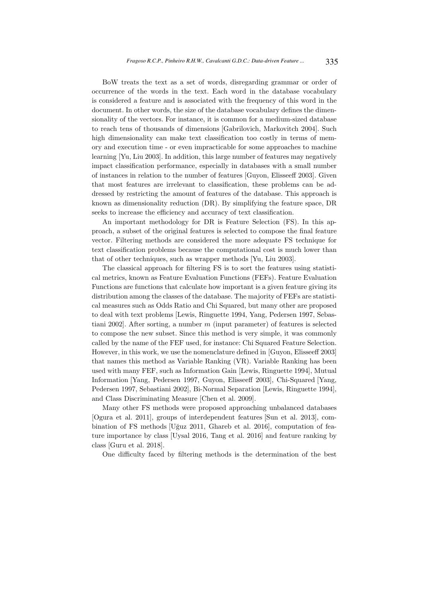BoW treats the text as a set of words, disregarding grammar or order of occurrence of the words in the text. Each word in the database vocabulary is considered a feature and is associated with the frequency of this word in the document. In other words, the size of the database vocabulary defines the dimensionality of the vectors. For instance, it is common for a medium-sized database to reach tens of thousands of dimensions [Gabrilovich, Markovitch 2004]. Such high dimensionality can make text classification too costly in terms of memory and execution time - or even impracticable for some approaches to machine learning [Yu, Liu 2003]. In addition, this large number of features may negatively impact classification performance, especially in databases with a small number of instances in relation to the number of features [Guyon, Elisseeff 2003]. Given that most features are irrelevant to classification, these problems can be addressed by restricting the amount of features of the database. This approach is known as dimensionality reduction (DR). By simplifying the feature space, DR seeks to increase the efficiency and accuracy of text classification.

An important methodology for DR is Feature Selection (FS). In this approach, a subset of the original features is selected to compose the final feature vector. Filtering methods are considered the more adequate FS technique for text classification problems because the computational cost is much lower than that of other techniques, such as wrapper methods [Yu, Liu 2003].

The classical approach for filtering FS is to sort the features using statistical metrics, known as Feature Evaluation Functions (FEFs). Feature Evaluation Functions are functions that calculate how important is a given feature giving its distribution among the classes of the database. The majority of FEFs are statistical measures such as Odds Ratio and Chi Squared, but many other are proposed to deal with text problems [Lewis, Ringuette 1994, Yang, Pedersen 1997, Sebastiani 2002]. After sorting, a number  $m$  (input parameter) of features is selected to compose the new subset. Since this method is very simple, it was commonly called by the name of the FEF used, for instance: Chi Squared Feature Selection. However, in this work, we use the nomenclature defined in [Guyon, Elisseeff 2003] that names this method as Variable Ranking (VR). Variable Ranking has been used with many FEF, such as Information Gain [Lewis, Ringuette 1994], Mutual Information [Yang, Pedersen 1997, Guyon, Elisseeff 2003], Chi-Squared [Yang, Pedersen 1997, Sebastiani 2002], Bi-Normal Separation [Lewis, Ringuette 1994], and Class Discriminating Measure [Chen et al. 2009].

Many other FS methods were proposed approaching unbalanced databases [Ogura et al. 2011], groups of interdependent features [Sun et al. 2013], combination of FS methods [Uğuz 2011, Ghareb et al. 2016], computation of feature importance by class [Uysal 2016, Tang et al. 2016] and feature ranking by class [Guru et al. 2018].

One difficulty faced by filtering methods is the determination of the best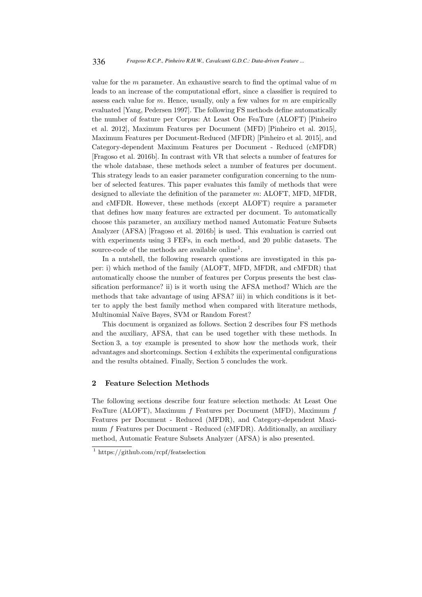value for the  $m$  parameter. An exhaustive search to find the optimal value of  $m$ leads to an increase of the computational effort, since a classifier is required to assess each value for  $m$ . Hence, usually, only a few values for  $m$  are empirically evaluated [Yang, Pedersen 1997]. The following FS methods define automatically the number of feature per Corpus: At Least One FeaTure (ALOFT) [Pinheiro et al. 2012], Maximum Features per Document (MFD) [Pinheiro et al. 2015], Maximum Features per Document-Reduced (MFDR) [Pinheiro et al. 2015], and Category-dependent Maximum Features per Document - Reduced (cMFDR) [Fragoso et al. 2016b]. In contrast with VR that selects a number of features for the whole database, these methods select a number of features per document. This strategy leads to an easier parameter configuration concerning to the number of selected features. This paper evaluates this family of methods that were designed to alleviate the definition of the parameter m: ALOFT, MFD, MFDR, and cMFDR. However, these methods (except ALOFT) require a parameter that defines how many features are extracted per document. To automatically choose this parameter, an auxiliary method named Automatic Feature Subsets Analyzer (AFSA) [Fragoso et al. 2016b] is used. This evaluation is carried out with experiments using 3 FEFs, in each method, and 20 public datasets. The source-code of the methods are available online<sup>1</sup>.

In a nutshell, the following research questions are investigated in this paper: i) which method of the family (ALOFT, MFD, MFDR, and cMFDR) that automatically choose the number of features per Corpus presents the best classification performance? ii) is it worth using the AFSA method? Which are the methods that take advantage of using AFSA? iii) in which conditions is it better to apply the best family method when compared with literature methods, Multinomial Naïve Bayes, SVM or Random Forest?

This document is organized as follows. Section 2 describes four FS methods and the auxiliary, AFSA, that can be used together with these methods. In Section 3, a toy example is presented to show how the methods work, their advantages and shortcomings. Section 4 exhibits the experimental configurations and the results obtained. Finally, Section 5 concludes the work.

### 2 Feature Selection Methods

The following sections describe four feature selection methods: At Least One FeaTure (ALOFT), Maximum f Features per Document (MFD), Maximum f Features per Document - Reduced (MFDR), and Category-dependent Maximum f Features per Document - Reduced (cMFDR). Additionally, an auxiliary method, Automatic Feature Subsets Analyzer (AFSA) is also presented.

<sup>1</sup> https://github.com/rcpf/featselection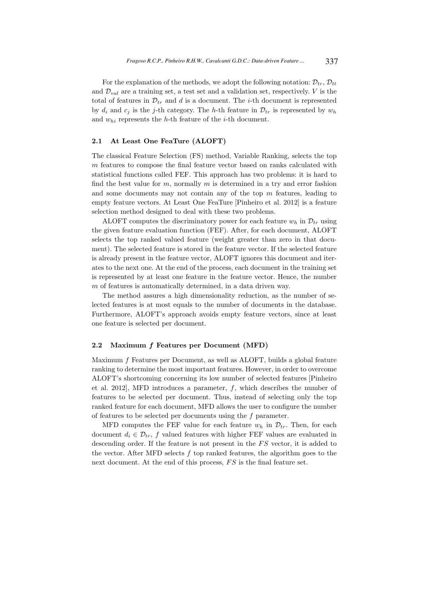For the explanation of the methods, we adopt the following notation:  $\mathcal{D}_{tr}$ ,  $\mathcal{D}_{tt}$ and  $\mathcal{D}_{val}$  are a training set, a test set and a validation set, respectively. V is the total of features in  $\mathcal{D}_{tr}$  and d is a document. The *i*-th document is represented by  $d_i$  and  $c_j$  is the j-th category. The h-th feature in  $\mathcal{D}_{tr}$  is represented by  $w_h$ and  $w_{hi}$  represents the h-th feature of the *i*-th document.

### 2.1 At Least One FeaTure (ALOFT)

The classical Feature Selection (FS) method, Variable Ranking, selects the top m features to compose the final feature vector based on ranks calculated with statistical functions called FEF. This approach has two problems: it is hard to find the best value for  $m$ , normally  $m$  is determined in a try and error fashion and some documents may not contain any of the top m features, leading to empty feature vectors. At Least One FeaTure [Pinheiro et al. 2012] is a feature selection method designed to deal with these two problems.

ALOFT computes the discriminatory power for each feature  $w_h$  in  $\mathcal{D}_{tr}$  using the given feature evaluation function (FEF). After, for each document, ALOFT selects the top ranked valued feature (weight greater than zero in that document). The selected feature is stored in the feature vector. If the selected feature is already present in the feature vector, ALOFT ignores this document and iterates to the next one. At the end of the process, each document in the training set is represented by at least one feature in the feature vector. Hence, the number m of features is automatically determined, in a data driven way.

The method assures a high dimensionality reduction, as the number of selected features is at most equals to the number of documents in the database. Furthermore, ALOFT's approach avoids empty feature vectors, since at least one feature is selected per document.

#### 2.2 Maximum f Features per Document (MFD)

Maximum f Features per Document, as well as ALOFT, builds a global feature ranking to determine the most important features. However, in order to overcome ALOFT's shortcoming concerning its low number of selected features [Pinheiro et al. 2012], MFD introduces a parameter,  $f$ , which describes the number of features to be selected per document. Thus, instead of selecting only the top ranked feature for each document, MFD allows the user to configure the number of features to be selected per documents using the f parameter.

MFD computes the FEF value for each feature  $w_h$  in  $\mathcal{D}_{tr}$ . Then, for each document  $d_i \in \mathcal{D}_{tr}$ , f valued features with higher FEF values are evaluated in descending order. If the feature is not present in the  $FS$  vector, it is added to the vector. After MFD selects  $f$  top ranked features, the algorithm goes to the next document. At the end of this process,  $FS$  is the final feature set.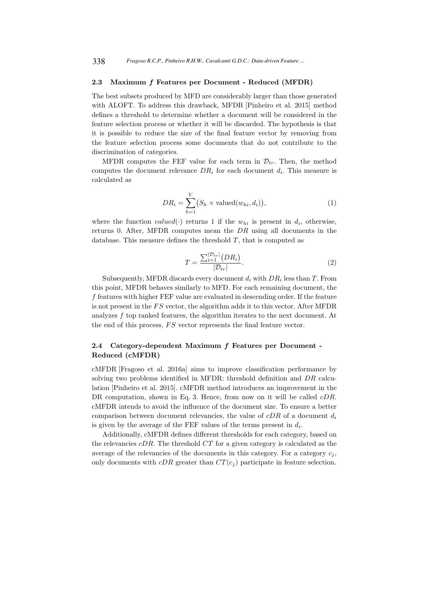### 2.3 Maximum f Features per Document - Reduced (MFDR)

The best subsets produced by MFD are considerably larger than those generated with ALOFT. To address this drawback, MFDR [Pinheiro et al. 2015] method defines a threshold to determine whether a document will be considered in the feature selection process or whether it will be discarded. The hypothesis is that it is possible to reduce the size of the final feature vector by removing from the feature selection process some documents that do not contribute to the discrimination of categories.

MFDR computes the FEF value for each term in  $\mathcal{D}_{tr}$ . Then, the method computes the document relevance  $DR<sub>i</sub>$  for each document  $d<sub>i</sub>$ . This measure is calculated as

$$
DR_i = \sum_{h=1}^{V} (S_h \times \text{valued}(w_{hi}, d_i)), \qquad (1)
$$

where the function valued( $\cdot$ ) returns 1 if the  $w_{hi}$  is present in  $d_i$ , otherwise, returns 0. After, MFDR computes mean the DR using all documents in the database. This measure defines the threshold  $T$ , that is computed as

$$
T = \frac{\sum_{i=1}^{|\mathcal{D}_{tr}|} (DR_i)}{|\mathcal{D}_{tr}|}.
$$
 (2)

Subsequently, MFDR discards every document  $d_i$  with  $DR_i$  less than T. From this point, MFDR behaves similarly to MFD. For each remaining document, the f features with higher FEF value are evaluated in descending order. If the feature is not present in the  $FS$  vector, the algorithm adds it to this vector. After MFDR analyzes f top ranked features, the algorithm iterates to the next document. At the end of this process,  $FS$  vector represents the final feature vector.

## 2.4 Category-dependent Maximum f Features per Document - Reduced (cMFDR)

cMFDR [Fragoso et al. 2016a] aims to improve classification performance by solving two problems identified in MFDR: threshold definition and DR calculation [Pinheiro et al. 2015]. cMFDR method introduces an improvement in the DR computation, shown in Eq. 3. Hence, from now on it will be called *cDR*. cMFDR intends to avoid the influence of the document size. To ensure a better comparison between document relevancies, the value of  $cDR$  of a document  $d_i$ is given by the average of the FEF values of the terms present in  $d_i$ .

Additionally, cMFDR defines different thresholds for each category, based on the relevancies  $\mathcal{C}DR$ . The threshold  $CT$  for a given category is calculated as the average of the relevancies of the documents in this category. For a category  $c_i$ , only documents with  $cDR$  greater than  $CT(c_i)$  participate in feature selection.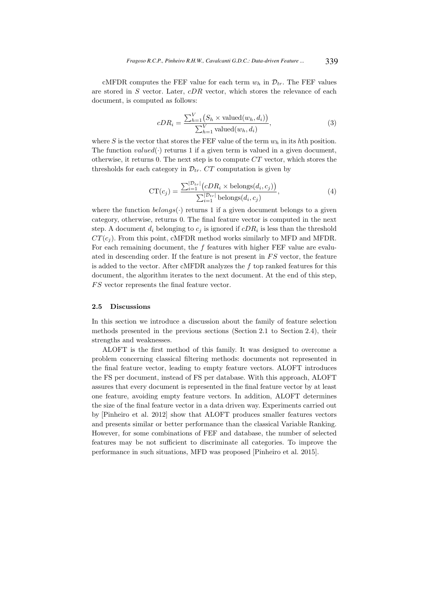cMFDR computes the FEF value for each term  $w_h$  in  $\mathcal{D}_{tr}$ . The FEF values are stored in  $S$  vector. Later,  $cDR$  vector, which stores the relevance of each document, is computed as follows:

$$
cDR_i = \frac{\sum_{h=1}^{V} (S_h \times \text{valued}(w_h, d_i))}{\sum_{h=1}^{V} \text{valued}(w_h, d_i)},
$$
\n(3)

where S is the vector that stores the FEF value of the term  $w<sub>h</sub>$  in its hth position. The function  $valued(\cdot)$  returns 1 if a given term is valued in a given document, otherwise, it returns 0. The next step is to compute CT vector, which stores the thresholds for each category in  $\mathcal{D}_{tr}$ . CT computation is given by

$$
CT(c_j) = \frac{\sum_{i=1}^{|\mathcal{D}_{tr}|} (cDR_i \times \text{belongs}(d_i, c_j))}{\sum_{i=1}^{|\mathcal{D}_{tr}|} \text{belongs}(d_i, c_j)},
$$
\n(4)

where the function  $belongs(\cdot)$  returns 1 if a given document belongs to a given category, otherwise, returns 0. The final feature vector is computed in the next step. A document  $d_i$  belonging to  $c_j$  is ignored if  $cDR_i$  is less than the threshold  $CT(c_i)$ . From this point, cMFDR method works similarly to MFD and MFDR. For each remaining document, the  $f$  features with higher FEF value are evaluated in descending order. If the feature is not present in  $FS$  vector, the feature is added to the vector. After cMFDR analyzes the  $f$  top ranked features for this document, the algorithm iterates to the next document. At the end of this step, FS vector represents the final feature vector.

#### 2.5 Discussions

In this section we introduce a discussion about the family of feature selection methods presented in the previous sections (Section 2.1 to Section 2.4), their strengths and weaknesses.

ALOFT is the first method of this family. It was designed to overcome a problem concerning classical filtering methods: documents not represented in the final feature vector, leading to empty feature vectors. ALOFT introduces the FS per document, instead of FS per database. With this approach, ALOFT assures that every document is represented in the final feature vector by at least one feature, avoiding empty feature vectors. In addition, ALOFT determines the size of the final feature vector in a data driven way. Experiments carried out by [Pinheiro et al. 2012] show that ALOFT produces smaller features vectors and presents similar or better performance than the classical Variable Ranking. However, for some combinations of FEF and database, the number of selected features may be not sufficient to discriminate all categories. To improve the performance in such situations, MFD was proposed [Pinheiro et al. 2015].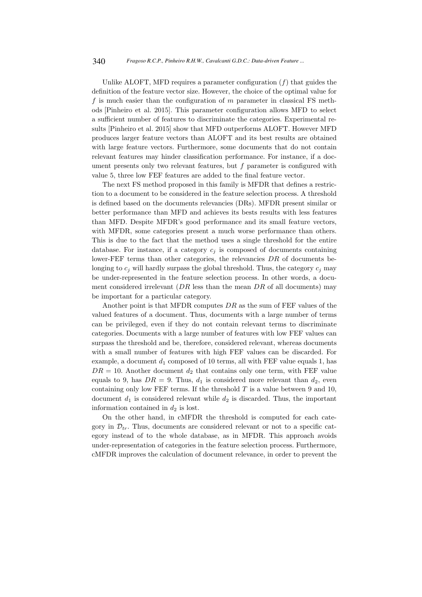Unlike ALOFT, MFD requires a parameter configuration  $(f)$  that guides the definition of the feature vector size. However, the choice of the optimal value for f is much easier than the configuration of  $m$  parameter in classical FS methods [Pinheiro et al. 2015]. This parameter configuration allows MFD to select a sufficient number of features to discriminate the categories. Experimental results [Pinheiro et al. 2015] show that MFD outperforms ALOFT. However MFD produces larger feature vectors than ALOFT and its best results are obtained with large feature vectors. Furthermore, some documents that do not contain relevant features may hinder classification performance. For instance, if a document presents only two relevant features, but  $f$  parameter is configured with value 5, three low FEF features are added to the final feature vector.

The next FS method proposed in this family is MFDR that defines a restriction to a document to be considered in the feature selection process. A threshold is defined based on the documents relevancies (DRs). MFDR present similar or better performance than MFD and achieves its bests results with less features than MFD. Despite MFDR's good performance and its small feature vectors, with MFDR, some categories present a much worse performance than others. This is due to the fact that the method uses a single threshold for the entire database. For instance, if a category  $c_i$  is composed of documents containing lower-FEF terms than other categories, the relevancies DR of documents belonging to  $c_i$  will hardly surpass the global threshold. Thus, the category  $c_i$  may be under-represented in the feature selection process. In other words, a document considered irrelevant  $(DR \text{ less than the mean } DR \text{ of all documents})$  may be important for a particular category.

Another point is that MFDR computes  $DR$  as the sum of FEF values of the valued features of a document. Thus, documents with a large number of terms can be privileged, even if they do not contain relevant terms to discriminate categories. Documents with a large number of features with low FEF values can surpass the threshold and be, therefore, considered relevant, whereas documents with a small number of features with high FEF values can be discarded. For example, a document  $d_1$  composed of 10 terms, all with FEF value equals 1, has  $DR = 10$ . Another document  $d_2$  that contains only one term, with FEF value equals to 9, has  $DR = 9$ . Thus,  $d_1$  is considered more relevant than  $d_2$ , even containing only low FEF terms. If the threshold  $T$  is a value between 9 and 10, document  $d_1$  is considered relevant while  $d_2$  is discarded. Thus, the important information contained in  $d_2$  is lost.

On the other hand, in cMFDR the threshold is computed for each category in  $\mathcal{D}_{tr}$ . Thus, documents are considered relevant or not to a specific category instead of to the whole database, as in MFDR. This approach avoids under-representation of categories in the feature selection process. Furthermore, cMFDR improves the calculation of document relevance, in order to prevent the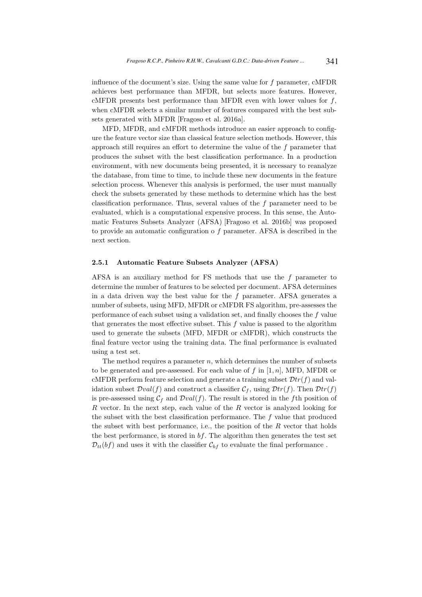influence of the document's size. Using the same value for  $f$  parameter,  $\alpha$ MFDR achieves best performance than MFDR, but selects more features. However, cMFDR presents best performance than MFDR even with lower values for  $f$ , when cMFDR selects a similar number of features compared with the best subsets generated with MFDR [Fragoso et al. 2016a].

MFD, MFDR, and cMFDR methods introduce an easier approach to configure the feature vector size than classical feature selection methods. However, this approach still requires an effort to determine the value of the f parameter that produces the subset with the best classification performance. In a production environment, with new documents being presented, it is necessary to reanalyze the database, from time to time, to include these new documents in the feature selection process. Whenever this analysis is performed, the user must manually check the subsets generated by these methods to determine which has the best classification performance. Thus, several values of the f parameter need to be evaluated, which is a computational expensive process. In this sense, the Automatic Features Subsets Analyzer (AFSA) [Fragoso et al. 2016b] was proposed to provide an automatic configuration o f parameter. AFSA is described in the next section.

### 2.5.1 Automatic Feature Subsets Analyzer (AFSA)

AFSA is an auxiliary method for FS methods that use the  $f$  parameter to determine the number of features to be selected per document. AFSA determines in a data driven way the best value for the  $f$  parameter. AFSA generates a number of subsets, using MFD, MFDR or cMFDR FS algorithm, pre-assesses the performance of each subset using a validation set, and finally chooses the f value that generates the most effective subset. This f value is passed to the algorithm used to generate the subsets (MFD, MFDR or cMFDR), which constructs the final feature vector using the training data. The final performance is evaluated using a test set.

The method requires a parameter  $n$ , which determines the number of subsets to be generated and pre-assessed. For each value of f in  $[1, n]$ , MFD, MFDR or cMFDR perform feature selection and generate a training subset  $\mathcal{D}tr(f)$  and validation subset  $Dval(f)$  and construct a classifier  $\mathcal{C}_f$ , using  $Dtr(f)$ . Then  $Dtr(f)$ is pre-assessed using  $C_f$  and  $Dval(f)$ . The result is stored in the fth position of  $R$  vector. In the next step, each value of the  $R$  vector is analyzed looking for the subset with the best classification performance. The f value that produced the subset with best performance, i.e., the position of the  $R$  vector that holds the best performance, is stored in  $bf$ . The algorithm then generates the test set  $\mathcal{D}_{tt}(bf)$  and uses it with the classifier  $\mathcal{C}_{bf}$  to evaluate the final performance.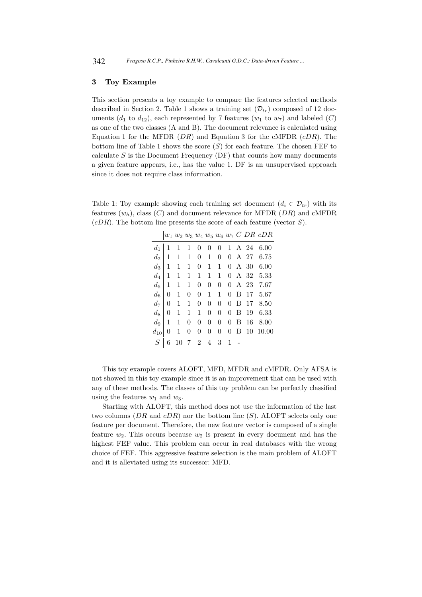## 3 Toy Example

This section presents a toy example to compare the features selected methods described in Section 2. Table 1 shows a training set  $(\mathcal{D}_{tr})$  composed of 12 documents  $(d_1 \text{ to } d_{12})$ , each represented by 7 features  $(w_1 \text{ to } w_7)$  and labeled  $(C)$ as one of the two classes (A and B). The document relevance is calculated using Equation 1 for the MFDR  $(DR)$  and Equation 3 for the cMFDR  $(cDR)$ . The bottom line of Table 1 shows the score  $(S)$  for each feature. The chosen FEF to calculate  $S$  is the Document Frequency (DF) that counts how many documents a given feature appears, i.e., has the value 1. DF is an unsupervised approach since it does not require class information.

Table 1: Toy example showing each training set document  $(d_i \in \mathcal{D}_{tr})$  with its features  $(w_h)$ , class  $(C)$  and document relevance for MFDR  $(DR)$  and cMFDR  $(cDR)$ . The bottom line presents the score of each feature (vector S).

|          |          |    |   |                |                |          |          |   |    | $w_1\ w_2\ w_3\ w_4\ w_5\ w_6\ w_7 C DR\ cDR$ |
|----------|----------|----|---|----------------|----------------|----------|----------|---|----|-----------------------------------------------|
| $d_1$    | 1        | 1  | 1 | 0              | 0              | 0        | 1        | A | 24 | 6.00                                          |
| $d_2$    | 1        | 1  | 1 | 0              | 1              | 0        | 0        | A | 27 | 6.75                                          |
| $d_3$    | 1        | 1  | 1 | 0              | 1              | 1        | 0        | А | 30 | 6.00                                          |
| $d_4$    | 1        | 1  | 1 | 1              | 1              | 1        | $\theta$ | А | 32 | 5.33                                          |
| $d_5$    | 1        | 1  | 1 | 0              | $\theta$       | 0        | 0        | A | 23 | 7.67                                          |
| $\, d_6$ | 0        | 1  | 0 | $\overline{0}$ | 1              | 1        | $\theta$ | B | 17 | 5.67                                          |
| $d_7$    | 0        | 1  | 1 | $\overline{0}$ | $\theta$       | 0        | $\theta$ | B | 17 | 8.50                                          |
| $d_8$    | $\theta$ | 1  | 1 | 1              | $\theta$       | 0        | $\theta$ | В | 19 | 6.33                                          |
| $d_9$    | 1        | 1  | 0 | 0              | $\overline{0}$ | $\theta$ | $\theta$ | B | 16 | 8.00                                          |
| $d_{10}$ | 0        | 1  | 0 | 0              | 0              | 0        | 0        | в | 10 | 10.00                                         |
| S        | 6        | 10 | 7 | $\overline{2}$ | 4              | 3        | 1        |   |    |                                               |

This toy example covers ALOFT, MFD, MFDR and cMFDR. Only AFSA is not showed in this toy example since it is an improvement that can be used with any of these methods. The classes of this toy problem can be perfectly classified using the features  $w_1$  and  $w_3$ .

Starting with ALOFT, this method does not use the information of the last two columns  $(DR \text{ and } cDR)$  nor the bottom line  $(S)$ . ALOFT selects only one feature per document. Therefore, the new feature vector is composed of a single feature  $w_2$ . This occurs because  $w_2$  is present in every document and has the highest FEF value. This problem can occur in real databases with the wrong choice of FEF. This aggressive feature selection is the main problem of ALOFT and it is alleviated using its successor: MFD.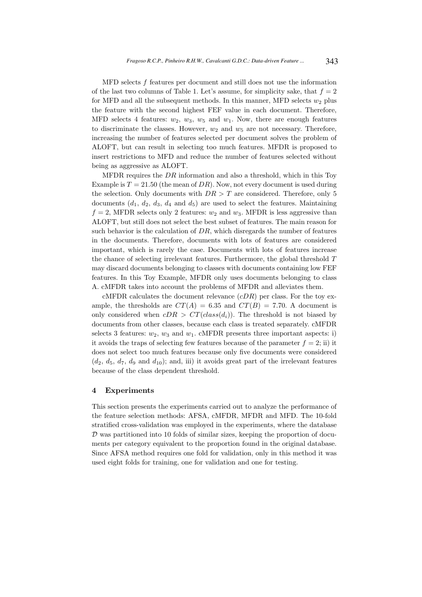MFD selects f features per document and still does not use the information of the last two columns of Table 1. Let's assume, for simplicity sake, that  $f = 2$ for MFD and all the subsequent methods. In this manner, MFD selects  $w_2$  plus the feature with the second highest FEF value in each document. Therefore, MFD selects 4 features:  $w_2$ ,  $w_3$ ,  $w_5$  and  $w_1$ . Now, there are enough features to discriminate the classes. However,  $w_2$  and  $w_5$  are not necessary. Therefore, increasing the number of features selected per document solves the problem of ALOFT, but can result in selecting too much features. MFDR is proposed to insert restrictions to MFD and reduce the number of features selected without being as aggressive as ALOFT.

MFDR requires the  $DR$  information and also a threshold, which in this Toy Example is  $T = 21.50$  (the mean of DR). Now, not every document is used during the selection. Only documents with  $DR > T$  are considered. Therefore, only 5 documents  $(d_1, d_2, d_3, d_4$  and  $d_5)$  are used to select the features. Maintaining  $f = 2$ , MFDR selects only 2 features:  $w_2$  and  $w_3$ . MFDR is less aggressive than ALOFT, but still does not select the best subset of features. The main reason for such behavior is the calculation of  $DR$ , which disregards the number of features in the documents. Therefore, documents with lots of features are considered important, which is rarely the case. Documents with lots of features increase the chance of selecting irrelevant features. Furthermore, the global threshold  $T$ may discard documents belonging to classes with documents containing low FEF features. In this Toy Example, MFDR only uses documents belonging to class A. cMFDR takes into account the problems of MFDR and alleviates them.

cMFDR calculates the document relevance  $(cDR)$  per class. For the toy example, the thresholds are  $CT(A) = 6.35$  and  $CT(B) = 7.70$ . A document is only considered when  $cDR > CT(dass(d_i))$ . The threshold is not biased by documents from other classes, because each class is treated separately. cMFDR selects 3 features:  $w_2$ ,  $w_3$  and  $w_1$ . cMFDR presents three important aspects: i) it avoids the traps of selecting few features because of the parameter  $f = 2$ ; ii) it does not select too much features because only five documents were considered  $(d_2, d_5, d_7, d_9 \text{ and } d_{10})$ ; and, iii) it avoids great part of the irrelevant features because of the class dependent threshold.

#### 4 Experiments

This section presents the experiments carried out to analyze the performance of the feature selection methods: AFSA, cMFDR, MFDR and MFD. The 10-fold stratified cross-validation was employed in the experiments, where the database  $\mathcal D$  was partitioned into 10 folds of similar sizes, keeping the proportion of documents per category equivalent to the proportion found in the original database. Since AFSA method requires one fold for validation, only in this method it was used eight folds for training, one for validation and one for testing.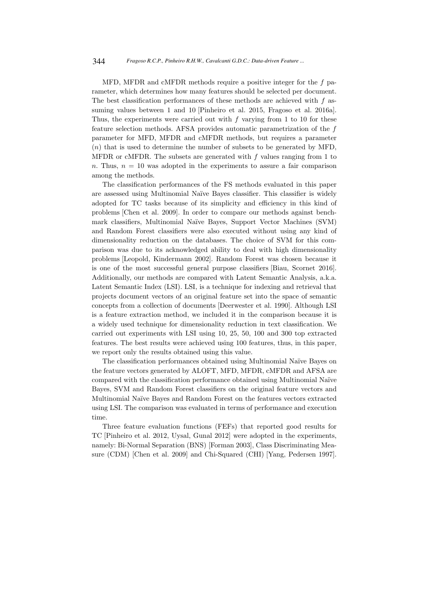MFD, MFDR and cMFDR methods require a positive integer for the  $f$  parameter, which determines how many features should be selected per document. The best classification performances of these methods are achieved with  $f$  assuming values between 1 and 10 [Pinheiro et al. 2015, Fragoso et al. 2016a]. Thus, the experiments were carried out with  $f$  varying from 1 to 10 for these feature selection methods. AFSA provides automatic parametrization of the f parameter for MFD, MFDR and cMFDR methods, but requires a parameter (n) that is used to determine the number of subsets to be generated by MFD, MFDR or cMFDR. The subsets are generated with  $f$  values ranging from 1 to n. Thus,  $n = 10$  was adopted in the experiments to assure a fair comparison among the methods.

The classification performances of the FS methods evaluated in this paper are assessed using Multinomial Naïve Bayes classifier. This classifier is widely adopted for TC tasks because of its simplicity and efficiency in this kind of problems [Chen et al. 2009]. In order to compare our methods against benchmark classifiers, Multinomial Na¨ıve Bayes, Support Vector Machines (SVM) and Random Forest classifiers were also executed without using any kind of dimensionality reduction on the databases. The choice of SVM for this comparison was due to its acknowledged ability to deal with high dimensionality problems [Leopold, Kindermann 2002]. Random Forest was chosen because it is one of the most successful general purpose classifiers [Biau, Scornet 2016]. Additionally, our methods are compared with Latent Semantic Analysis, a.k.a. Latent Semantic Index (LSI). LSI, is a technique for indexing and retrieval that projects document vectors of an original feature set into the space of semantic concepts from a collection of documents [Deerwester et al. 1990]. Although LSI is a feature extraction method, we included it in the comparison because it is a widely used technique for dimensionality reduction in text classification. We carried out experiments with LSI using 10, 25, 50, 100 and 300 top extracted features. The best results were achieved using 100 features, thus, in this paper, we report only the results obtained using this value.

The classification performances obtained using Multinomial Na¨ıve Bayes on the feature vectors generated by ALOFT, MFD, MFDR, cMFDR and AFSA are compared with the classification performance obtained using Multinomial Naïve Bayes, SVM and Random Forest classifiers on the original feature vectors and Multinomial Na¨ıve Bayes and Random Forest on the features vectors extracted using LSI. The comparison was evaluated in terms of performance and execution time.

Three feature evaluation functions (FEFs) that reported good results for TC [Pinheiro et al. 2012, Uysal, Gunal 2012] were adopted in the experiments, namely: Bi-Normal Separation (BNS) [Forman 2003], Class Discriminating Measure (CDM) [Chen et al. 2009] and Chi-Squared (CHI) [Yang, Pedersen 1997].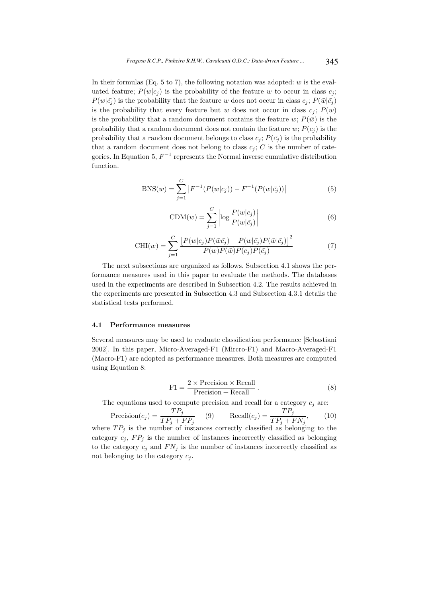In their formulas (Eq. 5 to 7), the following notation was adopted:  $w$  is the evaluated feature;  $P(w|c_i)$  is the probability of the feature w to occur in class  $c_i$ ;  $P(w|\bar{c}_i)$  is the probability that the feature w does not occur in class  $c_i$ ;  $P(\bar{w}|\bar{c}_i)$ is the probability that every feature but w does not occur in class  $c_i$ ;  $P(w)$ is the probability that a random document contains the feature w;  $P(\bar{w})$  is the probability that a random document does not contain the feature w;  $P(c_i)$  is the probability that a random document belongs to class  $c_j$ ;  $P(\bar{c}_j)$  is the probability that a random document does not belong to class  $c_i$ ; C is the number of categories. In Equation 5,  $F^{-1}$  represents the Normal inverse cumulative distribution function.

$$
BNS(w) = \sum_{j=1}^{C} |F^{-1}(P(w|c_j)) - F^{-1}(P(w|\bar{c_j}))|
$$
\n(5)

$$
CDM(w) = \sum_{j=1}^{C} \left| \log \frac{P(w|c_j)}{P(w|\bar{c_j})} \right| \tag{6}
$$

$$
\text{CHI}(w) = \sum_{j=1}^{C} \frac{\left[ P(w|c_j) P(\bar{w}\bar{c_j}) - P(w|\bar{c_j}) P(\bar{w}|\bar{c_j}) \right]^2}{P(w) P(\bar{w}) P(c_j) P(\bar{c_j})}
$$
(7)

The next subsections are organized as follows. Subsection 4.1 shows the performance measures used in this paper to evaluate the methods. The databases used in the experiments are described in Subsection 4.2. The results achieved in the experiments are presented in Subsection 4.3 and Subsection 4.3.1 details the statistical tests performed.

#### 4.1 Performance measures

Several measures may be used to evaluate classification performance [Sebastiani 2002]. In this paper, Micro-Averaged-F1 (Mircro-F1) and Macro-Averaged-F1 (Macro-F1) are adopted as performance measures. Both measures are computed using Equation 8:

$$
F1 = \frac{2 \times \text{Precision} \times \text{Recall}}{\text{Precision} + \text{Recall}}.
$$
 (8)

The equations used to compute precision and recall for a category  $c_i$  are:

$$
Precision(c_j) = \frac{TP_j}{TP_j + FP_j} \qquad (9) \qquad Recall(c_j) = \frac{TP_j}{TP_j + FN_j}, \qquad (10)
$$

where  $TP_j$  is the number of instances correctly classified as belonging to the category  $c_j$ ,  $FP_j$  is the number of instances incorrectly classified as belonging to the category  $c_i$  and  $FN_i$  is the number of instances incorrectly classified as not belonging to the category  $c_i$ .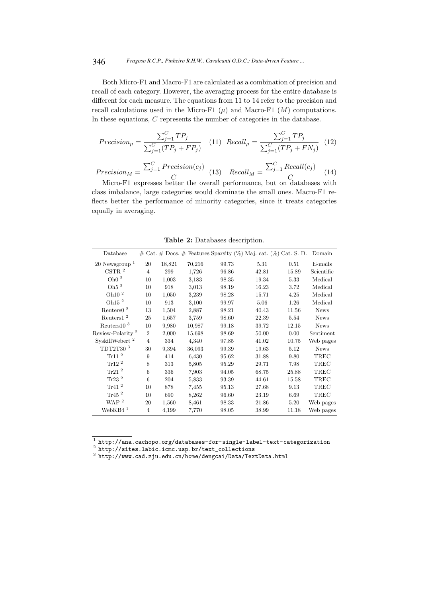Both Micro-F1 and Macro-F1 are calculated as a combination of precision and recall of each category. However, the averaging process for the entire database is different for each measure. The equations from 11 to 14 refer to the precision and recall calculations used in the Micro-F1  $(\mu)$  and Macro-F1  $(M)$  computations. In these equations, C represents the number of categories in the database.

$$
Precision_{\mu} = \frac{\sum_{j=1}^{C} TP_j}{\sum_{j=1}^{C} (TP_j + FP_j)} \quad (11) \quad Recall_{\mu} = \frac{\sum_{j=1}^{C} TP_j}{\sum_{j=1}^{C} (TP_j + FN_j)} \quad (12)
$$

 $Precision_M =$  $\sum_{j=1}^{C} Precision(c_j)$  $\overline{C}$  (13)  $Recall_M =$  $\sum_{j=1}^{C} Recall(c_j)$  $\overline{C_{1,1}}$  (14)

Micro-F1 expresses better the overall performance, but on databases with class imbalance, large categories would dominate the small ones. Macro-F1 reflects better the performance of minority categories, since it treats categories equally in averaging.

|  | Table 2: Databases description. |
|--|---------------------------------|
|--|---------------------------------|

| Database                     |                |        |        |       | $\#$ Cat. $\#$ Docs. $\#$ Features Sparsity (%) Maj. cat. (%) Cat. S. D. Domain |       |             |
|------------------------------|----------------|--------|--------|-------|---------------------------------------------------------------------------------|-------|-------------|
| $20$ Newsgroup <sup>1</sup>  | 20             | 18,821 | 70,216 | 99.73 | 5.31                                                                            | 0.51  | E-mails     |
| $\mathrm{CSTR}$ $^2$         | $\overline{4}$ | 299    | 1,726  | 96.86 | 42.81                                                                           | 15.89 | Scientific  |
| Oh<br>0 $^2\,$               | 10             | 1,003  | 3,183  | 98.35 | 19.34                                                                           | 5.33  | Medical     |
| Oh <sub>5</sub> $^2$         | 10             | 918    | 3,013  | 98.19 | 16.23                                                                           | 3.72  | Medical     |
| Oh 10 <sup>2</sup>           | 10             | 1,050  | 3,239  | 98.28 | 15.71                                                                           | 4.25  | Medical     |
| Oh $152$                     | 10             | 913    | 3,100  | 99.97 | 5.06                                                                            | 1.26  | Medical     |
| Reuters $02$                 | 13             | 1,504  | 2,887  | 98.21 | 40.43                                                                           | 11.56 | <b>News</b> |
| Reuters1 <sup>2</sup>        | 25             | 1,657  | 3,759  | 98.60 | 22.39                                                                           | 5.54  | <b>News</b> |
| Reuters $103$                | 10             | 9,980  | 10,987 | 99.18 | 39.72                                                                           | 12.15 | <b>News</b> |
| Review-Polarity <sup>2</sup> | $\overline{2}$ | 2,000  | 15,698 | 98.69 | 50.00                                                                           | 0.00  | Sentiment   |
| SyskillWebert <sup>2</sup>   | $\overline{4}$ | 334    | 4,340  | 97.85 | 41.02                                                                           | 10.75 | Web pages   |
| TDT2T30 <sup>3</sup>         | 30             | 9,394  | 36,093 | 99.39 | 19.63                                                                           | 5.12  | <b>News</b> |
| Tr11 <sup>2</sup>            | 9              | 414    | 6,430  | 95.62 | 31.88                                                                           | 9.80  | TREC        |
| $Tr12$ <sup>2</sup>          | 8              | 313    | 5,805  | 95.29 | 29.71                                                                           | 7.98  | TREC        |
| Tr21 $^2$                    | 6              | 336    | 7,903  | 94.05 | 68.75                                                                           | 25.88 | TREC        |
| Tr23 $2$                     | 6              | 204    | 5,833  | 93.39 | 44.61                                                                           | 15.58 | TREC        |
| Tr41 $^2$                    | 10             | 878    | 7,455  | 95.13 | 27.68                                                                           | 9.13  | TREC        |
| Tr45 $^2$                    | 10             | 690    | 8,262  | 96.60 | 23.19                                                                           | 6.69  | TREC        |
| WAP <sup>2</sup>             | 20             | 1,560  | 8,461  | 98.33 | 21.86                                                                           | 5.20  | Web pages   |
| WebKB4 <sup>1</sup>          | $\overline{4}$ | 4,199  | 7,770  | 98.05 | 38.99                                                                           | 11.18 | Web pages   |

<sup>1</sup> http://ana.cachopo.org/databases-for-single-label-text-categorization<br><sup>2</sup> http://sites.labic.icmc.usp.br/text\_collections<br><sup>3</sup> http://www.cad.zju.edu.cn/home/dengcai/Data/TextData.html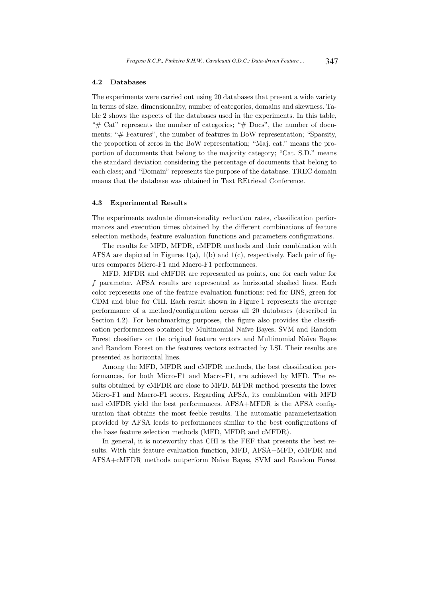#### 4.2 Databases

The experiments were carried out using 20 databases that present a wide variety in terms of size, dimensionality, number of categories, domains and skewness. Table 2 shows the aspects of the databases used in the experiments. In this table, " $#$  Cat" represents the number of categories; " $#$  Docs", the number of documents; "# Features", the number of features in BoW representation; "Sparsity, the proportion of zeros in the BoW representation; "Maj. cat." means the proportion of documents that belong to the majority category; "Cat. S.D." means the standard deviation considering the percentage of documents that belong to each class; and "Domain" represents the purpose of the database. TREC domain means that the database was obtained in Text REtrieval Conference.

#### 4.3 Experimental Results

The experiments evaluate dimensionality reduction rates, classification performances and execution times obtained by the different combinations of feature selection methods, feature evaluation functions and parameters configurations.

The results for MFD, MFDR, cMFDR methods and their combination with AFSA are depicted in Figures  $1(a)$ ,  $1(b)$  and  $1(c)$ , respectively. Each pair of figures compares Micro-F1 and Macro-F1 performances.

MFD, MFDR and cMFDR are represented as points, one for each value for f parameter. AFSA results are represented as horizontal slashed lines. Each color represents one of the feature evaluation functions: red for BNS, green for CDM and blue for CHI. Each result shown in Figure 1 represents the average performance of a method/configuration across all 20 databases (described in Section 4.2). For benchmarking purposes, the figure also provides the classification performances obtained by Multinomial Na¨ıve Bayes, SVM and Random Forest classifiers on the original feature vectors and Multinomial Naïve Bayes and Random Forest on the features vectors extracted by LSI. Their results are presented as horizontal lines.

Among the MFD, MFDR and cMFDR methods, the best classification performances, for both Micro-F1 and Macro-F1, are achieved by MFD. The results obtained by cMFDR are close to MFD. MFDR method presents the lower Micro-F1 and Macro-F1 scores. Regarding AFSA, its combination with MFD and cMFDR yield the best performances. AFSA+MFDR is the AFSA configuration that obtains the most feeble results. The automatic parameterization provided by AFSA leads to performances similar to the best configurations of the base feature selection methods (MFD, MFDR and cMFDR).

In general, it is noteworthy that CHI is the FEF that presents the best results. With this feature evaluation function, MFD, AFSA+MFD, cMFDR and AFSA+cMFDR methods outperform Na¨ıve Bayes, SVM and Random Forest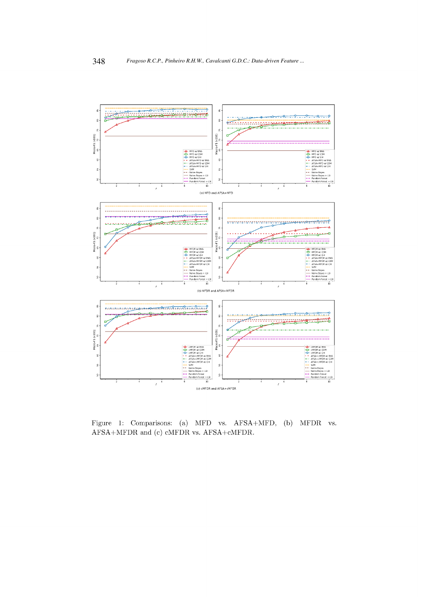

Figure 1: Comparisons: (a) MFD vs. AFSA+MFD, (b) MFDR vs. AFSA+MFDR and (c) cMFDR vs. AFSA+cMFDR.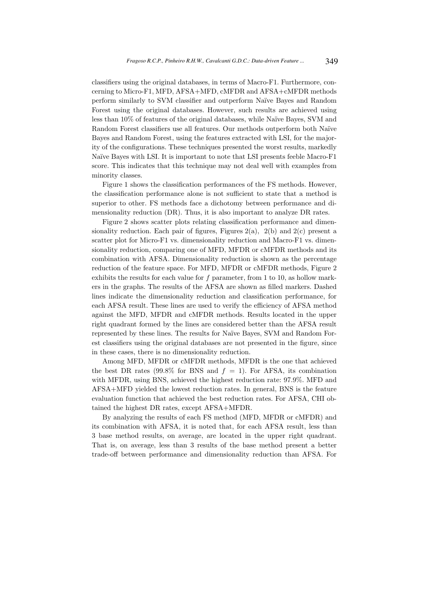classifiers using the original databases, in terms of Macro-F1. Furthermore, concerning to Micro-F1, MFD, AFSA+MFD, cMFDR and AFSA+cMFDR methods perform similarly to SVM classifier and outperform Na¨ıve Bayes and Random Forest using the original databases. However, such results are achieved using less than  $10\%$  of features of the original databases, while Naïve Bayes, SVM and Random Forest classifiers use all features. Our methods outperform both Naïve Bayes and Random Forest, using the features extracted with LSI, for the majority of the configurations. These techniques presented the worst results, markedly Naïve Bayes with LSI. It is important to note that LSI presents feeble Macro-F1 score. This indicates that this technique may not deal well with examples from minority classes.

Figure 1 shows the classification performances of the FS methods. However, the classification performance alone is not sufficient to state that a method is superior to other. FS methods face a dichotomy between performance and dimensionality reduction (DR). Thus, it is also important to analyze DR rates.

Figure 2 shows scatter plots relating classification performance and dimensionality reduction. Each pair of figures, Figures  $2(a)$ ,  $2(b)$  and  $2(c)$  present a scatter plot for Micro-F1 vs. dimensionality reduction and Macro-F1 vs. dimensionality reduction, comparing one of MFD, MFDR or cMFDR methods and its combination with AFSA. Dimensionality reduction is shown as the percentage reduction of the feature space. For MFD, MFDR or cMFDR methods, Figure 2 exhibits the results for each value for  $f$  parameter, from 1 to 10, as hollow markers in the graphs. The results of the AFSA are shown as filled markers. Dashed lines indicate the dimensionality reduction and classification performance, for each AFSA result. These lines are used to verify the efficiency of AFSA method against the MFD, MFDR and cMFDR methods. Results located in the upper right quadrant formed by the lines are considered better than the AFSA result represented by these lines. The results for Na¨ıve Bayes, SVM and Random Forest classifiers using the original databases are not presented in the figure, since in these cases, there is no dimensionality reduction.

Among MFD, MFDR or cMFDR methods, MFDR is the one that achieved the best DR rates (99.8% for BNS and  $f = 1$ ). For AFSA, its combination with MFDR, using BNS, achieved the highest reduction rate: 97.9%. MFD and AFSA+MFD yielded the lowest reduction rates. In general, BNS is the feature evaluation function that achieved the best reduction rates. For AFSA, CHI obtained the highest DR rates, except AFSA+MFDR.

By analyzing the results of each FS method (MFD, MFDR or cMFDR) and its combination with AFSA, it is noted that, for each AFSA result, less than 3 base method results, on average, are located in the upper right quadrant. That is, on average, less than 3 results of the base method present a better trade-off between performance and dimensionality reduction than AFSA. For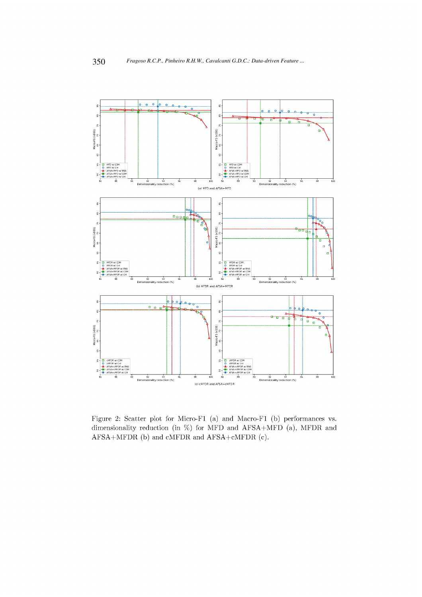

Figure 2: Scatter plot for Micro-F1 (a) and Macro-F1 (b) performances vs. dimensionality reduction (in %) for MFD and AFSA+MFD (a), MFDR and AFSA+MFDR (b) and cMFDR and AFSA+cMFDR (c).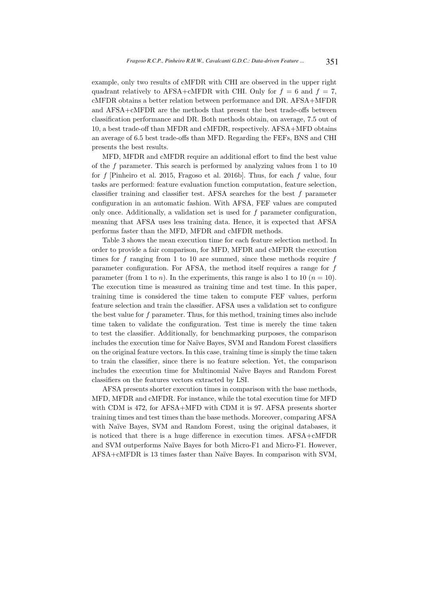example, only two results of cMFDR with CHI are observed in the upper right quadrant relatively to AFSA+cMFDR with CHI. Only for  $f = 6$  and  $f = 7$ . cMFDR obtains a better relation between performance and DR. AFSA+MFDR and AFSA+cMFDR are the methods that present the best trade-offs between classification performance and DR. Both methods obtain, on average, 7.5 out of 10, a best trade-off than MFDR and cMFDR, respectively. AFSA+MFD obtains an average of 6.5 best trade-offs than MFD. Regarding the FEFs, BNS and CHI presents the best results.

MFD, MFDR and cMFDR require an additional effort to find the best value of the f parameter. This search is performed by analyzing values from 1 to 10 for  $f$  [Pinheiro et al. 2015, Fragoso et al. 2016b]. Thus, for each  $f$  value, four tasks are performed: feature evaluation function computation, feature selection, classifier training and classifier test. AFSA searches for the best  $f$  parameter configuration in an automatic fashion. With AFSA, FEF values are computed only once. Additionally, a validation set is used for f parameter configuration, meaning that AFSA uses less training data. Hence, it is expected that AFSA performs faster than the MFD, MFDR and cMFDR methods.

Table 3 shows the mean execution time for each feature selection method. In order to provide a fair comparison, for MFD, MFDR and cMFDR the execution times for  $f$  ranging from 1 to 10 are summed, since these methods require  $f$ parameter configuration. For AFSA, the method itself requires a range for f parameter (from 1 to *n*). In the experiments, this range is also 1 to 10 ( $n = 10$ ). The execution time is measured as training time and test time. In this paper, training time is considered the time taken to compute FEF values, perform feature selection and train the classifier. AFSA uses a validation set to configure the best value for f parameter. Thus, for this method, training times also include time taken to validate the configuration. Test time is merely the time taken to test the classifier. Additionally, for benchmarking purposes, the comparison includes the execution time for Na¨ıve Bayes, SVM and Random Forest classifiers on the original feature vectors. In this case, training time is simply the time taken to train the classifier, since there is no feature selection. Yet, the comparison includes the execution time for Multinomial Naïve Bayes and Random Forest classifiers on the features vectors extracted by LSI.

AFSA presents shorter execution times in comparison with the base methods, MFD, MFDR and cMFDR. For instance, while the total execution time for MFD with CDM is 472, for AFSA+MFD with CDM it is 97. AFSA presents shorter training times and test times than the base methods. Moreover, comparing AFSA with Naïve Bayes, SVM and Random Forest, using the original databases, it is noticed that there is a huge difference in execution times. AFSA+cMFDR and SVM outperforms Naïve Bayes for both Micro-F1 and Micro-F1. However, AFSA+cMFDR is 13 times faster than Na¨ıve Bayes. In comparison with SVM,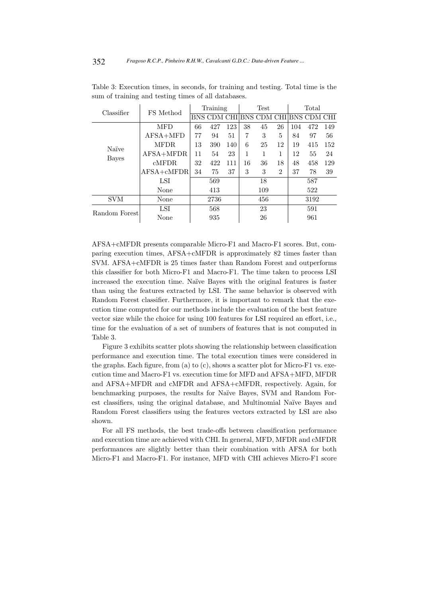| Classifier    | FS Method      | Training |      |     |    | Test                                |                | Total |      |     |  |
|---------------|----------------|----------|------|-----|----|-------------------------------------|----------------|-------|------|-----|--|
|               |                |          |      |     |    | BNS CDM CHI BNS CDM CHI BNS CDM CHI |                |       |      |     |  |
|               | <b>MFD</b>     | 66       | 427  | 123 | 38 | 45                                  | 26             | 104   | 472  | 149 |  |
|               | $AFSA+MFD$     | 77       | 94   | 51  | 7  | 3                                   | 5              | 84    | 97   | 56  |  |
| Naïve         | <b>MFDR</b>    | 13       | 390  | 140 | 6  | 25                                  | 12             | 19    | 415  | 152 |  |
| <b>Bayes</b>  | AFSA+MFDR      | 11       | 54   | 23  | 1  | 1                                   | 1              | 12    | 55   | 24  |  |
|               | cMFDR          | 32       | 422  | 111 | 16 | 36                                  | 18             | 48    | 458  | 129 |  |
|               | $AFSA + cMFDR$ | 34       | 75   | 37  | 3  | 3                                   | $\overline{2}$ | 37    | 78   | 39  |  |
|               | LSI            | 569      |      |     | 18 |                                     |                | 587   |      |     |  |
|               | None           | 413      |      |     |    | 109                                 |                |       | 522  |     |  |
| <b>SVM</b>    | None           |          | 2736 |     |    | 456                                 |                |       | 3192 |     |  |
| Random Forest | LSI            | 568      |      |     | 23 |                                     |                | 591   |      |     |  |
|               | None           | 935      |      |     |    | 26                                  |                |       | 961  |     |  |

Table 3: Execution times, in seconds, for training and testing. Total time is the sum of training and testing times of all databases.

AFSA+cMFDR presents comparable Micro-F1 and Macro-F1 scores. But, comparing execution times, AFSA+cMFDR is approximately 82 times faster than SVM. AFSA+cMFDR is 25 times faster than Random Forest and outperforms this classifier for both Micro-F1 and Macro-F1. The time taken to process LSI increased the execution time. Naïve Bayes with the original features is faster than using the features extracted by LSI. The same behavior is observed with Random Forest classifier. Furthermore, it is important to remark that the execution time computed for our methods include the evaluation of the best feature vector size while the choice for using 100 features for LSI required an effort, i.e., time for the evaluation of a set of numbers of features that is not computed in Table 3.

Figure 3 exhibits scatter plots showing the relationship between classification performance and execution time. The total execution times were considered in the graphs. Each figure, from (a) to (c), shows a scatter plot for Micro-F1 vs. execution time and Macro-F1 vs. execution time for MFD and AFSA+MFD, MFDR and AFSA+MFDR and cMFDR and AFSA+cMFDR, respectively. Again, for benchmarking purposes, the results for Naïve Bayes, SVM and Random Forest classifiers, using the original database, and Multinomial Naïve Bayes and Random Forest classifiers using the features vectors extracted by LSI are also shown.

For all FS methods, the best trade-offs between classification performance and execution time are achieved with CHI. In general, MFD, MFDR and cMFDR performances are slightly better than their combination with AFSA for both Micro-F1 and Macro-F1. For instance, MFD with CHI achieves Micro-F1 score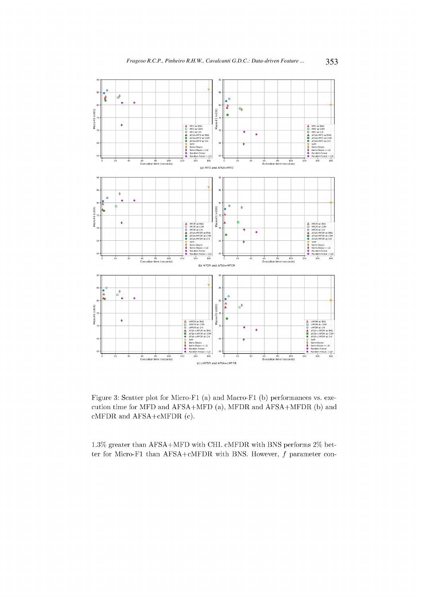

Figure 3: Scatter plot for Micro-F1 (a) and Macro-F1 (b) performances vs. execution time for MFD and AFSA+MFD (a), MFDR and AFSA+MFDR (b) and cMFDR and AFSA+cMFDR (c).

1.3% greater than AFSA+MFD with CHI. cMFDR with BNS performs 2% better for Micro-F1 than AFSA+cMFDR with BNS. However,  $f$  parameter con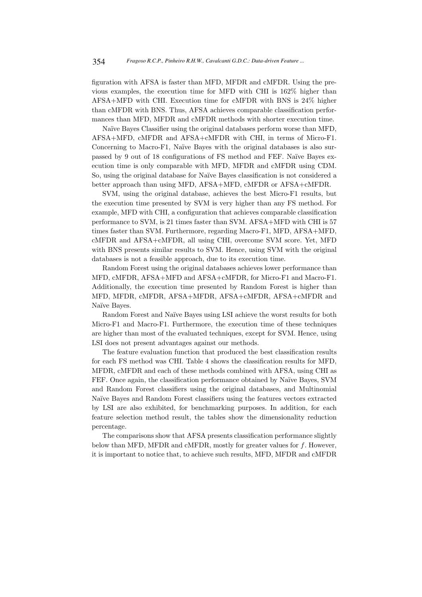figuration with AFSA is faster than MFD, MFDR and cMFDR. Using the previous examples, the execution time for MFD with CHI is 162% higher than AFSA+MFD with CHI. Execution time for cMFDR with BNS is 24% higher than cMFDR with BNS. Thus, AFSA achieves comparable classification performances than MFD, MFDR and cMFDR methods with shorter execution time.

Na¨ıve Bayes Classifier using the original databases perform worse than MFD, AFSA+MFD, cMFDR and AFSA+cMFDR with CHI, in terms of Micro-F1. Concerning to Macro-F1, Naïve Bayes with the original databases is also surpassed by 9 out of 18 configurations of FS method and FEF. Na¨ıve Bayes execution time is only comparable with MFD, MFDR and cMFDR using CDM. So, using the original database for Na¨ıve Bayes classification is not considered a better approach than using MFD, AFSA+MFD, cMFDR or AFSA+cMFDR.

SVM, using the original database, achieves the best Micro-F1 results, but the execution time presented by SVM is very higher than any FS method. For example, MFD with CHI, a configuration that achieves comparable classification performance to SVM, is 21 times faster than SVM. AFSA+MFD with CHI is 57 times faster than SVM. Furthermore, regarding Macro-F1, MFD, AFSA+MFD, cMFDR and AFSA+cMFDR, all using CHI, overcome SVM score. Yet, MFD with BNS presents similar results to SVM. Hence, using SVM with the original databases is not a feasible approach, due to its execution time.

Random Forest using the original databases achieves lower performance than MFD, cMFDR, AFSA+MFD and AFSA+cMFDR, for Micro-F1 and Macro-F1. Additionally, the execution time presented by Random Forest is higher than MFD, MFDR, cMFDR, AFSA+MFDR, AFSA+cMFDR, AFSA+cMFDR and Naïve Bayes.

Random Forest and Naïve Bayes using LSI achieve the worst results for both Micro-F1 and Macro-F1. Furthermore, the execution time of these techniques are higher than most of the evaluated techniques, except for SVM. Hence, using LSI does not present advantages against our methods.

The feature evaluation function that produced the best classification results for each FS method was CHI. Table 4 shows the classification results for MFD, MFDR, cMFDR and each of these methods combined with AFSA, using CHI as FEF. Once again, the classification performance obtained by Naïve Bayes, SVM and Random Forest classifiers using the original databases, and Multinomial Naïve Bayes and Random Forest classifiers using the features vectors extracted by LSI are also exhibited, for benchmarking purposes. In addition, for each feature selection method result, the tables show the dimensionality reduction percentage.

The comparisons show that AFSA presents classification performance slightly below than MFD, MFDR and cMFDR, mostly for greater values for  $f$ . However, it is important to notice that, to achieve such results, MFD, MFDR and cMFDR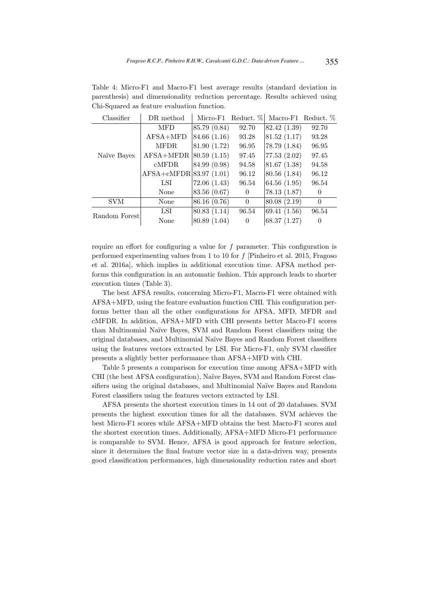| Classifier    | DR method                     | Micro-F1     | Reduct. %      | Macro-F1 Reduct. $%$ |                |
|---------------|-------------------------------|--------------|----------------|----------------------|----------------|
|               | MFD                           | 85.79 (0.84) | 92.70          | 82.42 (1.39)         | 92.70          |
|               | AFSA+MFD                      | 84.66 (1.16) | 93.28          | 81.52(1.17)          | 93.28          |
|               | <b>MFDR</b>                   | 81.90 (1.72) | 96.95          | 78.79 (1.84)         | 96.95          |
| Naïve Bayes   | $AFSA+MFDR$                   | 80.59(1.15)  | 97.45          | 77.53 (2.02)         | 97.45          |
|               | cMFDR                         | 84.99 (0.98) | 94.58          | 81.67(1.38)          | 94.58          |
|               | $AFSA + cMFDR   83.97 (1.01)$ |              | 96.12          | 80.56 (1.84)         | 96.12          |
|               | LSI                           | 72.06(1.43)  | 96.54          | 64.56 $(1.95)$       | 96.54          |
|               | None                          | 83.56 (0.67) | $\theta$       | 78.13(1.87)          | $\theta$       |
| SVM           | None                          | 86.16 (0.76) | $\overline{0}$ | 80.08(2.19)          | $\theta$       |
| Random Forest | LSI                           | 80.83 (1.14) | 96.54          | 69.41(1.56)          | 96.54          |
|               | None                          | 80.89 (1.04) | $\theta$       | 68.37(1.27)          | $\overline{0}$ |

Table 4: Micro-F1 and Macro-F1 best average results (standard deviation in parenthesis) and dimensionality reduction percentage. Results achieved using Chi-Squared as feature evaluation function.

require an effort for configuring a value for f parameter. This configuration is performed experimenting values from 1 to 10 for f [Pinheiro et al. 2015, Fragoso et al. 2016a], which implies in additional execution time. AFSA method performs this configuration in an automatic fashion. This approach leads to shorter execution times (Table 3).

The best AFSA results, concerning Micro-F1, Macro-F1 were obtained with AFSA+MFD, using the feature evaluation function CHI. This configuration performs better than all the other configurations for AFSA, MFD, MFDR and cMFDR. In addition, AFSA+MFD with CHI presents better Macro-F1 scores than Multinomial Na¨ıve Bayes, SVM and Random Forest classifiers using the original databases, and Multinomial Na¨ıve Bayes and Random Forest classifiers using the features vectors extracted by LSI. For Micro-F1, only SVM classifier presents a slightly better performance than AFSA+MFD with CHI.

Table 5 presents a comparison for execution time among AFSA+MFD with CHI (the best AFSA configuration), Naïve Bayes, SVM and Random Forest classifiers using the original databases, and Multinomial Naïve Bayes and Random Forest classifiers using the features vectors extracted by LSI.

AFSA presents the shortest execution times in 14 out of 20 databases. SVM presents the highest execution times for all the databases. SVM achieves the best Micro-F1 scores while AFSA+MFD obtains the best Macro-F1 scores and the shortest execution times. Additionally, AFSA+MFD Micro-F1 performance is comparable to SVM. Hence, AFSA is good approach for feature selection, since it determines the final feature vector size in a data-driven way, presents good classification performances, high dimensionality reduction rates and short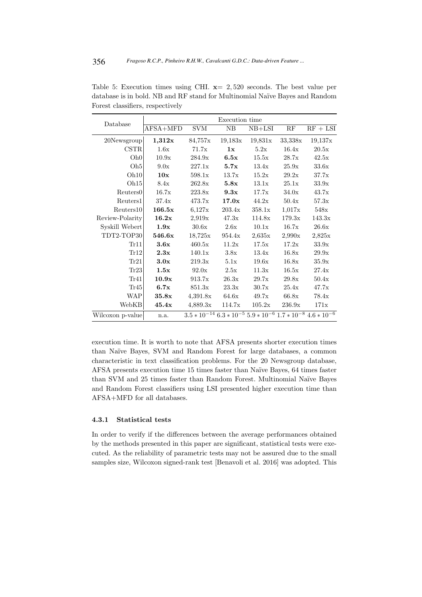| Database             | Execution time |            |         |            |         |                                                                                  |  |  |  |  |
|----------------------|----------------|------------|---------|------------|---------|----------------------------------------------------------------------------------|--|--|--|--|
|                      | AFSA+MFD       | <b>SVM</b> | NB      | $NB+LSI$   | RF      | $RF + LSI$                                                                       |  |  |  |  |
| $20$ Newsgroup       | 1,312x         | 84,757x    | 19,183x | 19,831x    | 33,338x | 19,137x                                                                          |  |  |  |  |
| <b>CSTR</b>          | 1.6x           | 71.7x      | 1x      | 5.2x       | 16.4x   | 20.5x                                                                            |  |  |  |  |
| Oh 0                 | 10.9x          | 284.9x     | 6.5x    | 15.5x      | 28.7x   | 42.5x                                                                            |  |  |  |  |
| Oh <sub>5</sub>      | 9.0x           | 227.1x     | 5.7x    | 13.4x      | 25.9x   | 33.6x                                                                            |  |  |  |  |
| Oh 10                | 10x            | 598.1x     | 13.7x   | 15.2x      | 29.2x   | 37.7x                                                                            |  |  |  |  |
| Oh15                 | 8.4x           | 262.8x     | 5.8x    | 13.1x      | 25.1x   | 33.9x                                                                            |  |  |  |  |
| Reuters <sub>0</sub> | 16.7x          | 223.8x     | 9.3x    | 17.7x      | 34.0x   | 43.7x                                                                            |  |  |  |  |
| Reuters1             | 37.4x          | 473.7x     | 17.0x   | 44.2x      | 50.4x   | 57.3x                                                                            |  |  |  |  |
| Reuters10            | 166.5x         | 6,127x     | 203.4x  | 358.1x     | 1,017x  | 548x                                                                             |  |  |  |  |
| Review-Polarity      | 16.2x          | 2,919x     | 47.3x   | 114.8x     | 179.3x  | 143.3x                                                                           |  |  |  |  |
| Syskill Webert       | 1.9x           | 30.6x      | 2.6x    | 10.1x      | 16.7x   | 26.6x                                                                            |  |  |  |  |
| TDT2-TOP30           | 546.6x         | 18,725x    | 954.4x  | $2{,}635x$ | 2,990x  | 2,825x                                                                           |  |  |  |  |
| Tr11                 | 3.6x           | 460.5x     | 11.2x   | 17.5x      | 17.2x   | 33.9x                                                                            |  |  |  |  |
| Tr12                 | 2.3x           | 140.1x     | 3.8x    | 13.4x      | 16.8x   | 29.9x                                                                            |  |  |  |  |
| Tr21                 | 3.0x           | 219.3x     | 5.1x    | 19.6x      | 16.8x   | 35.9x                                                                            |  |  |  |  |
| Tr23                 | 1.5x           | 92.0x      | 2.5x    | 11.3x      | 16.5x   | 27.4x                                                                            |  |  |  |  |
| Tr41                 | 10.9x          | 913.7x     | 26.3x   | 29.7x      | 29.8x   | 50.4x                                                                            |  |  |  |  |
| Tr45                 | 6.7x           | 851.3x     | 23.3x   | 30.7x      | 25.4x   | 47.7x                                                                            |  |  |  |  |
| <b>WAP</b>           | 35.8x          | 4,391.8x   | 64.6x   | 49.7x      | 66.8x   | 78.4x                                                                            |  |  |  |  |
| WebKB                | 45.4x          | 4,889.3x   | 114.7x  | 105.2x     | 236.9x  | 171x                                                                             |  |  |  |  |
| Wilcoxon p-value     | n.a.           |            |         |            |         | $3.5 * 10^{-14}$ $6.3 * 10^{-5}$ $5.9 * 10^{-6}$ $1.7 * 10^{-8}$ $4.6 * 10^{-6}$ |  |  |  |  |

Table 5: Execution times using CHI.  $x=2,520$  seconds. The best value per database is in bold. NB and RF stand for Multinomial Naïve Bayes and Random Forest classifiers, respectively

execution time. It is worth to note that AFSA presents shorter execution times than Naïve Bayes, SVM and Random Forest for large databases, a common characteristic in text classification problems. For the 20 Newsgroup database, AFSA presents execution time 15 times faster than Na¨ıve Bayes, 64 times faster than SVM and 25 times faster than Random Forest. Multinomial Naïve Bayes and Random Forest classifiers using LSI presented higher execution time than AFSA+MFD for all databases.

#### 4.3.1 Statistical tests

In order to verify if the differences between the average performances obtained by the methods presented in this paper are significant, statistical tests were executed. As the reliability of parametric tests may not be assured due to the small samples size, Wilcoxon signed-rank test [Benavoli et al. 2016] was adopted. This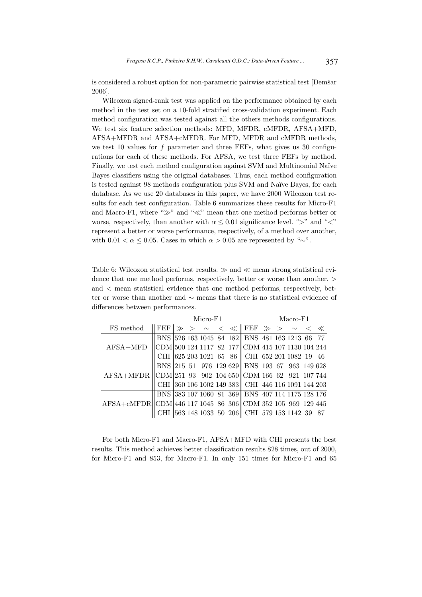is considered a robust option for non-parametric pairwise statistical test [Demšar 2006].

Wilcoxon signed-rank test was applied on the performance obtained by each method in the test set on a 10-fold stratified cross-validation experiment. Each method configuration was tested against all the others methods configurations. We test six feature selection methods: MFD, MFDR, cMFDR, AFSA+MFD, AFSA+MFDR and AFSA+cMFDR. For MFD, MFDR and cMFDR methods, we test 10 values for f parameter and three FEFs, what gives us 30 configurations for each of these methods. For AFSA, we test three FEFs by method. Finally, we test each method configuration against SVM and Multinomial Naïve Bayes classifiers using the original databases. Thus, each method configuration is tested against 98 methods configuration plus SVM and Naïve Bayes, for each database. As we use 20 databases in this paper, we have 2000 Wilcoxon test results for each test configuration. Table 6 summarizes these results for Micro-F1 and Macro-F1, where "≫" and "≪" mean that one method performs better or worse, respectively, than another with  $\alpha \leq 0.01$  significance level. ">" and "<" represent a better or worse performance, respectively, of a method over another, with 0.01 <  $\alpha \leq 0.05$ . Cases in which  $\alpha > 0.05$  are represented by "∼".

Table 6: Wilcoxon statistical test results.  $\gg$  and  $\ll$  mean strong statistical evidence that one method performs, respectively, better or worse than another. > and  $\leq$  mean statistical evidence that one method performs, respectively, better or worse than another and ∼ means that there is no statistical evidence of differences between performances.

|                                                              | Micro-F1                                              |  |  |  |  |  |                                                                                       |  | Macro-F1 |  |  |  |  |  |
|--------------------------------------------------------------|-------------------------------------------------------|--|--|--|--|--|---------------------------------------------------------------------------------------|--|----------|--|--|--|--|--|
| FS method                                                    |                                                       |  |  |  |  |  | FEF $ \gg\rangle$ $\sim$ $\langle$ $ \text{FEF}  \gg \rangle$ $\sim$ $\langle$ $ \ll$ |  |          |  |  |  |  |  |
|                                                              |                                                       |  |  |  |  |  | BNS 526 163 1045 84 182 BNS 481 163 1213 66 77                                        |  |          |  |  |  |  |  |
| $AFSA+MFD$                                                   |                                                       |  |  |  |  |  | CDM 500 124 1117 82 177 CDM 415 107 1130 104 244                                      |  |          |  |  |  |  |  |
|                                                              |                                                       |  |  |  |  |  | CHI 625 203 1021 65 86 CHI 652 201 1082 19 46                                         |  |          |  |  |  |  |  |
|                                                              |                                                       |  |  |  |  |  | BNS 215 51 976 129 629 BNS 193 67 963 149 628                                         |  |          |  |  |  |  |  |
| $AFSA+MFDR$                                                  | $  CDM 251$ 93 902 104 650 $  CDM 166$ 62 921 107 744 |  |  |  |  |  |                                                                                       |  |          |  |  |  |  |  |
|                                                              |                                                       |  |  |  |  |  | CHI 360 106 1002 149 383 CHI 446 116 1091 144 203                                     |  |          |  |  |  |  |  |
|                                                              |                                                       |  |  |  |  |  | BNS 383 107 1060 81 369 BNS 407 114 1175 128 176                                      |  |          |  |  |  |  |  |
| AFSA+cMFDR  CDM 446 117 1045 86 306  CDM 352 105 969 129 445 |                                                       |  |  |  |  |  |                                                                                       |  |          |  |  |  |  |  |
|                                                              | CHI.                                                  |  |  |  |  |  | 563 148 1033 50 206   CHI  579 153 1142 39 87                                         |  |          |  |  |  |  |  |

For both Micro-F1 and Macro-F1, AFSA+MFD with CHI presents the best results. This method achieves better classification results 828 times, out of 2000, for Micro-F1 and 853, for Macro-F1. In only 151 times for Micro-F1 and 65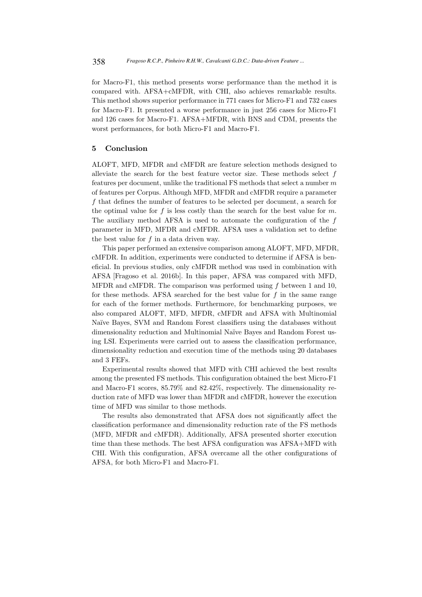for Macro-F1, this method presents worse performance than the method it is compared with. AFSA+cMFDR, with CHI, also achieves remarkable results. This method shows superior performance in 771 cases for Micro-F1 and 732 cases for Macro-F1. It presented a worse performance in just 256 cases for Micro-F1 and 126 cases for Macro-F1. AFSA+MFDR, with BNS and CDM, presents the worst performances, for both Micro-F1 and Macro-F1.

#### 5 Conclusion

ALOFT, MFD, MFDR and cMFDR are feature selection methods designed to alleviate the search for the best feature vector size. These methods select  $f$ features per document, unlike the traditional FS methods that select a number m of features per Corpus. Although MFD, MFDR and cMFDR require a parameter f that defines the number of features to be selected per document, a search for the optimal value for f is less costly than the search for the best value for  $m$ . The auxiliary method AFSA is used to automate the configuration of the f parameter in MFD, MFDR and cMFDR. AFSA uses a validation set to define the best value for f in a data driven way.

This paper performed an extensive comparison among ALOFT, MFD, MFDR, cMFDR. In addition, experiments were conducted to determine if AFSA is beneficial. In previous studies, only cMFDR method was used in combination with AFSA [Fragoso et al. 2016b]. In this paper, AFSA was compared with MFD, MFDR and cMFDR. The comparison was performed using  $f$  between 1 and 10, for these methods. AFSA searched for the best value for  $f$  in the same range for each of the former methods. Furthermore, for benchmarking purposes, we also compared ALOFT, MFD, MFDR, cMFDR and AFSA with Multinomial Na¨ıve Bayes, SVM and Random Forest classifiers using the databases without dimensionality reduction and Multinomial Na¨ıve Bayes and Random Forest using LSI. Experiments were carried out to assess the classification performance, dimensionality reduction and execution time of the methods using 20 databases and 3 FEFs.

Experimental results showed that MFD with CHI achieved the best results among the presented FS methods. This configuration obtained the best Micro-F1 and Macro-F1 scores, 85.79% and 82.42%, respectively. The dimensionality reduction rate of MFD was lower than MFDR and cMFDR, however the execution time of MFD was similar to those methods.

The results also demonstrated that AFSA does not significantly affect the classification performance and dimensionality reduction rate of the FS methods (MFD, MFDR and cMFDR). Additionally, AFSA presented shorter execution time than these methods. The best AFSA configuration was AFSA+MFD with CHI. With this configuration, AFSA overcame all the other configurations of AFSA, for both Micro-F1 and Macro-F1.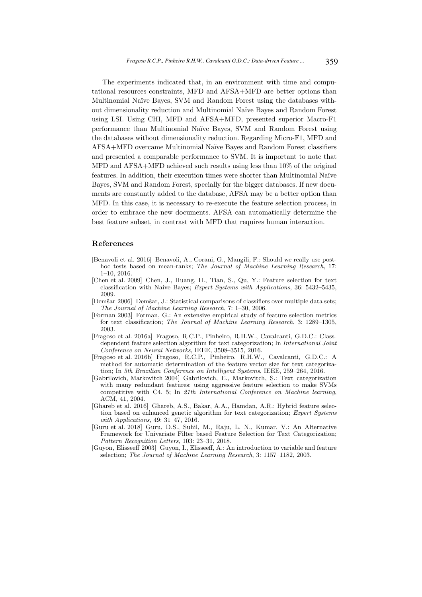The experiments indicated that, in an environment with time and computational resources constraints, MFD and AFSA+MFD are better options than Multinomial Na¨ıve Bayes, SVM and Random Forest using the databases without dimensionality reduction and Multinomial Na¨ıve Bayes and Random Forest using LSI. Using CHI, MFD and AFSA+MFD, presented superior Macro-F1 performance than Multinomial Na¨ıve Bayes, SVM and Random Forest using the databases without dimensionality reduction. Regarding Micro-F1, MFD and AFSA+MFD overcame Multinomial Naïve Bayes and Random Forest classifiers and presented a comparable performance to SVM. It is important to note that MFD and AFSA+MFD achieved such results using less than 10% of the original features. In addition, their execution times were shorter than Multinomial Naïve Bayes, SVM and Random Forest, specially for the bigger databases. If new documents are constantly added to the database, AFSA may be a better option than MFD. In this case, it is necessary to re-execute the feature selection process, in order to embrace the new documents. AFSA can automatically determine the best feature subset, in contrast with MFD that requires human interaction.

## References

- [Benavoli et al. 2016] Benavoli, A., Corani, G., Mangili, F.: Should we really use posthoc tests based on mean-ranks; The Journal of Machine Learning Research, 17: 1–10, 2016.
- [Chen et al. 2009] Chen, J., Huang, H., Tian, S., Qu, Y.: Feature selection for text classification with Naive Bayes; Expert Systems with Applications, 36: 5432–5435, 2009.
- [Demšar 2006] Demšar, J.: Statistical comparisons of classifiers over multiple data sets; The Journal of Machine Learning Research, 7: 1–30, 2006.
- [Forman 2003] Forman, G.: An extensive empirical study of feature selection metrics for text classification; The Journal of Machine Learning Research, 3: 1289–1305, 2003.
- [Fragoso et al. 2016a] Fragoso, R.C.P., Pinheiro, R.H.W., Cavalcanti, G.D.C.: Classdependent feature selection algorithm for text categorization; In International Joint Conference on Neural Networks, IEEE, 3508–3515, 2016.
- [Fragoso et al. 2016b] Fragoso, R.C.P., Pinheiro, R.H.W., Cavalcanti, G.D.C.: A method for automatic determination of the feature vector size for text categorization; In 5th Brazilian Conference on Intelligent Systems, IEEE, 259–264, 2016.
- [Gabrilovich, Markovitch 2004] Gabrilovich, E., Markovitch, S.: Text categorization with many redundant features: using aggressive feature selection to make SVMs competitive with C4. 5; In 21th International Conference on Machine learning, ACM, 41, 2004.
- [Ghareb et al. 2016] Ghareb, A.S., Bakar, A.A., Hamdan, A.R.: Hybrid feature selection based on enhanced genetic algorithm for text categorization; Expert Systems with Applications, 49: 31–47, 2016.
- [Guru et al. 2018] Guru, D.S., Suhil, M., Raju, L. N., Kumar, V.: An Alternative Framework for Univariate Filter based Feature Selection for Text Categorization; Pattern Recognition Letters, 103: 23–31, 2018.
- [Guyon, Elisseeff 2003] Guyon, I., Elisseeff, A.: An introduction to variable and feature selection; The Journal of Machine Learning Research, 3: 1157–1182, 2003.